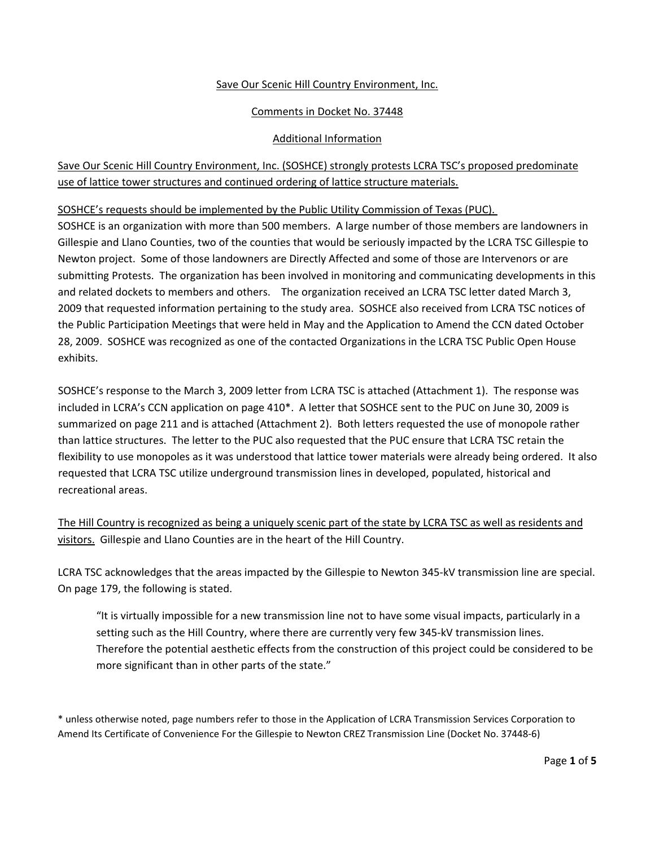### Save Our Scenic Hill Country Environment, Inc.

## Comments in Docket No. 37448

#### Additional Information

# Save Our Scenic Hill Country Environment, Inc. (SOSHCE) strongly protests LCRA TSC's proposed predominate use of lattice tower structures and continued ordering of lattice structure materials.

SOSHCE's requests should be implemented by the Public Utility Commission of Texas (PUC).

SOSHCE is an organization with more than 500 members. A large number of those members are landowners in Gillespie and Llano Counties, two of the counties that would be seriously impacted by the LCRA TSC Gillespie to Newton project. Some of those landowners are Directly Affected and some of those are Intervenors or are submitting Protests. The organization has been involved in monitoring and communicating developments in this and related dockets to members and others. The organization received an LCRA TSC letter dated March 3, 2009 that requested information pertaining to the study area. SOSHCE also received from LCRA TSC notices of the Public Participation Meetings that were held in May and the Application to Amend the CCN dated October 28, 2009. SOSHCE was recognized as one of the contacted Organizations in the LCRA TSC Public Open House exhibits.

SOSHCE's response to the March 3, 2009 letter from LCRA TSC is attached (Attachment 1). The response was included in LCRA's CCN application on page 410\*. A letter that SOSHCE sent to the PUC on June 30, 2009 is summarized on page 211 and is attached (Attachment 2). Both letters requested the use of monopole rather than lattice structures. The letter to the PUC also requested that the PUC ensure that LCRA TSC retain the flexibility to use monopoles as it was understood that lattice tower materials were already being ordered. It also requested that LCRA TSC utilize underground transmission lines in developed, populated, historical and recreational areas.

The Hill Country is recognized as being a uniquely scenic part of the state by LCRA TSC as well as residents and visitors. Gillespie and Llano Counties are in the heart of the Hill Country.

LCRA TSC acknowledges that the areas impacted by the Gillespie to Newton 345‐kV transmission line are special. On page 179, the following is stated.

"It is virtually impossible for a new transmission line not to have some visual impacts, particularly in a setting such as the Hill Country, where there are currently very few 345-kV transmission lines. Therefore the potential aesthetic effects from the construction of this project could be considered to be more significant than in other parts of the state."

\* unless otherwise noted, page numbers refer to those in the Application of LCRA Transmission Services Corporation to Amend Its Certificate of Convenience For the Gillespie to Newton CREZ Transmission Line (Docket No. 37448‐6)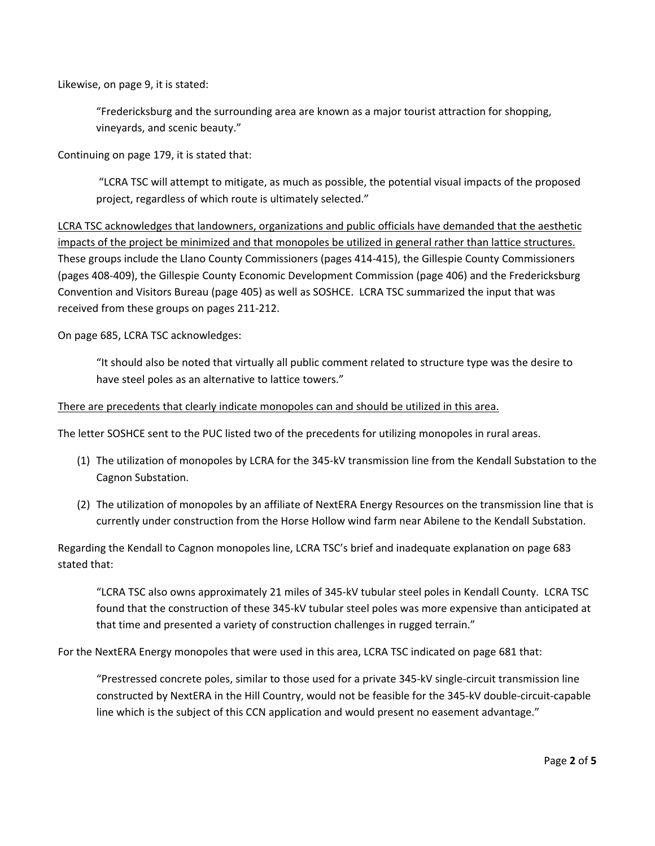Likewise, on page 9, it is stated:

"Fredericksburg and the surrounding area are known as a major tourist attraction for shopping, vineyards, and scenic beauty."

Continuing on page 179, it is stated that:

"LCRA TSC will attempt to mitigate, as much as possible, the potential visual impacts of the proposed project, regardless of which route is ultimately selected."

LCRA TSC acknowledges that landowners, organizations and public officials have demanded that the aesthetic impacts of the project be minimized and that monopoles be utilized in general rather than lattice structures. These groups include the Llano County Commissioners (pages 414‐415), the Gillespie County Commissioners (pages 408‐409), the Gillespie County Economic Development Commission (page 406) and the Fredericksburg Convention and Visitors Bureau (page 405) as well as SOSHCE. LCRA TSC summarized the input that was received from these groups on pages 211‐212.

On page 685, LCRA TSC acknowledges:

"It should also be noted that virtually all public comment related to structure type was the desire to have steel poles as an alternative to lattice towers."

#### There are precedents that clearly indicate monopoles can and should be utilized in this area.

The letter SOSHCE sent to the PUC listed two of the precedents for utilizing monopoles in rural areas.

- (1) The utilization of monopoles by LCRA for the 345‐kV transmission line from the Kendall Substation to the Cagnon Substation.
- (2) The utilization of monopoles by an affiliate of NextERA Energy Resources on the transmission line that is currently under construction from the Horse Hollow wind farm near Abilene to the Kendall Substation.

Regarding the Kendall to Cagnon monopoles line, LCRA TSC's brief and inadequate explanation on page 683 stated that:

"LCRA TSC also owns approximately 21 miles of 345‐kV tubular steel poles in Kendall County. LCRA TSC found that the construction of these 345‐kV tubular steel poles was more expensive than anticipated at that time and presented a variety of construction challenges in rugged terrain."

For the NextERA Energy monopoles that were used in this area, LCRA TSC indicated on page 681 that:

"Prestressed concrete poles, similar to those used for a private 345‐kV single‐circuit transmission line constructed by NextERA in the Hill Country, would not be feasible for the 345‐kV double‐circuit‐capable line which is the subject of this CCN application and would present no easement advantage."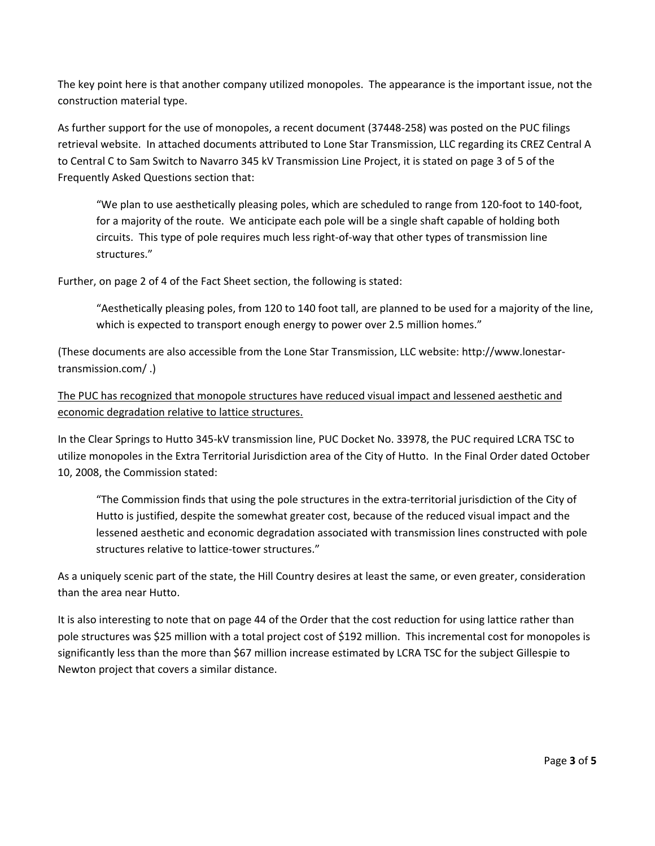The key point here is that another company utilized monopoles. The appearance is the important issue, not the construction material type.

As further support for the use of monopoles, a recent document (37448‐258) was posted on the PUC filings retrieval website. In attached documents attributed to Lone Star Transmission, LLC regarding its CREZ Central A to Central C to Sam Switch to Navarro 345 kV Transmission Line Project, it is stated on page 3 of 5 of the Frequently Asked Questions section that:

"We plan to use aesthetically pleasing poles, which are scheduled to range from 120‐foot to 140‐foot, for a majority of the route. We anticipate each pole will be a single shaft capable of holding both circuits. This type of pole requires much less right‐of‐way that other types of transmission line structures."

Further, on page 2 of 4 of the Fact Sheet section, the following is stated:

"Aesthetically pleasing poles, from 120 to 140 foot tall, are planned to be used for a majority of the line, which is expected to transport enough energy to power over 2.5 million homes."

(These documents are also accessible from the Lone Star Transmission, LLC website: http://www.lonestar‐ transmission.com/ .)

The PUC has recognized that monopole structures have reduced visual impact and lessened aesthetic and economic degradation relative to lattice structures.

In the Clear Springs to Hutto 345‐kV transmission line, PUC Docket No. 33978, the PUC required LCRA TSC to utilize monopoles in the Extra Territorial Jurisdiction area of the City of Hutto. In the Final Order dated October 10, 2008, the Commission stated:

"The Commission finds that using the pole structures in the extra‐territorial jurisdiction of the City of Hutto is justified, despite the somewhat greater cost, because of the reduced visual impact and the lessened aesthetic and economic degradation associated with transmission lines constructed with pole structures relative to lattice‐tower structures."

As a uniquely scenic part of the state, the Hill Country desires at least the same, or even greater, consideration than the area near Hutto.

It is also interesting to note that on page 44 of the Order that the cost reduction for using lattice rather than pole structures was \$25 million with a total project cost of \$192 million. This incremental cost for monopoles is significantly less than the more than \$67 million increase estimated by LCRA TSC for the subject Gillespie to Newton project that covers a similar distance.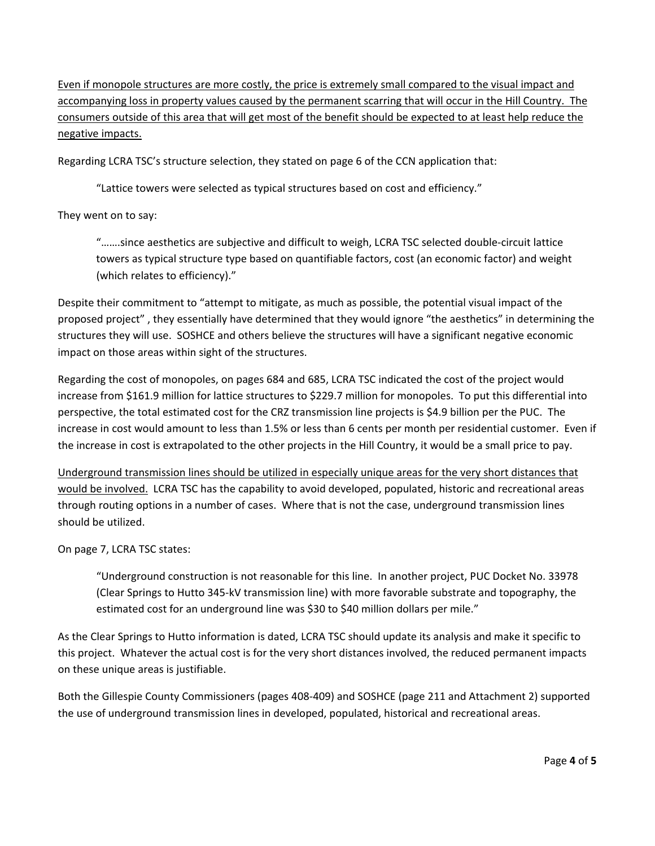Even if monopole structures are more costly, the price is extremely small compared to the visual impact and accompanying loss in property values caused by the permanent scarring that will occur in the Hill Country. The consumers outside of this area that will get most of the benefit should be expected to at least help reduce the negative impacts.

Regarding LCRA TSC's structure selection, they stated on page 6 of the CCN application that:

"Lattice towers were selected as typical structures based on cost and efficiency."

They went on to say:

"…….since aesthetics are subjective and difficult to weigh, LCRA TSC selected double‐circuit lattice towers as typical structure type based on quantifiable factors, cost (an economic factor) and weight (which relates to efficiency)."

Despite their commitment to "attempt to mitigate, as much as possible, the potential visual impact of the proposed project" , they essentially have determined that they would ignore "the aesthetics" in determining the structures they will use. SOSHCE and others believe the structures will have a significant negative economic impact on those areas within sight of the structures.

Regarding the cost of monopoles, on pages 684 and 685, LCRA TSC indicated the cost of the project would increase from \$161.9 million for lattice structures to \$229.7 million for monopoles. To put this differential into perspective, the total estimated cost for the CRZ transmission line projects is \$4.9 billion per the PUC. The increase in cost would amount to less than 1.5% or less than 6 cents per month per residential customer. Even if the increase in cost is extrapolated to the other projects in the Hill Country, it would be a small price to pay.

Underground transmission lines should be utilized in especially unique areas for the very short distances that would be involved. LCRA TSC has the capability to avoid developed, populated, historic and recreational areas through routing options in a number of cases. Where that is not the case, underground transmission lines should be utilized.

On page 7, LCRA TSC states:

"Underground construction is not reasonable for this line. In another project, PUC Docket No. 33978 (Clear Springs to Hutto 345‐kV transmission line) with more favorable substrate and topography, the estimated cost for an underground line was \$30 to \$40 million dollars per mile."

As the Clear Springs to Hutto information is dated, LCRA TSC should update its analysis and make it specific to this project. Whatever the actual cost is for the very short distances involved, the reduced permanent impacts on these unique areas is justifiable.

Both the Gillespie County Commissioners (pages 408‐409) and SOSHCE (page 211 and Attachment 2) supported the use of underground transmission lines in developed, populated, historical and recreational areas.